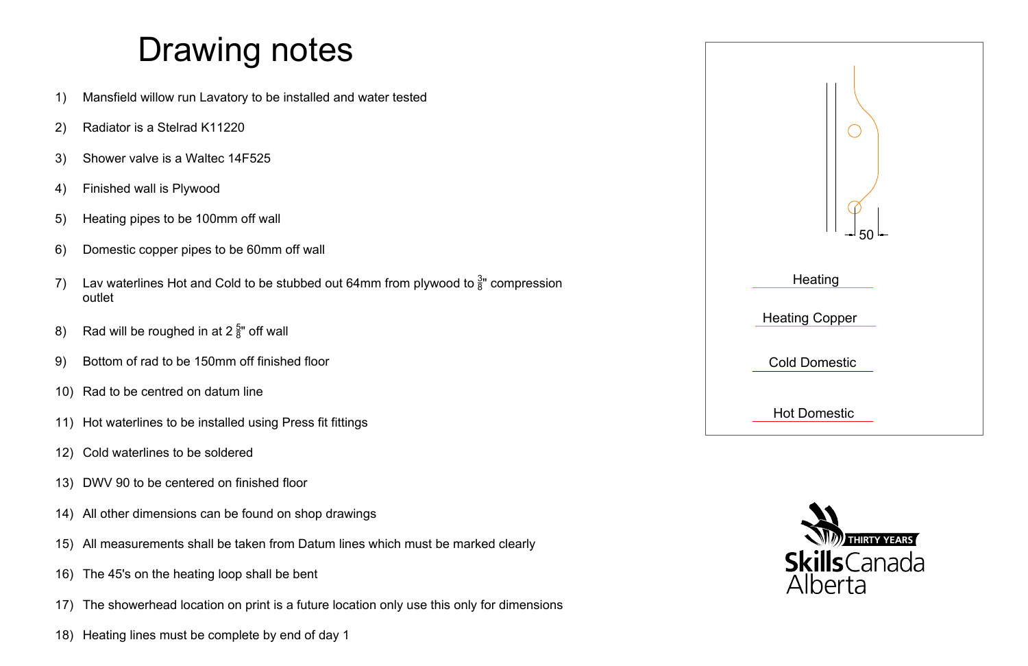



- 
- 
- 
- 
- 
- 
- 
- 
- 
- 
- 
- 12) Cold waterlines to be soldered
- 13) DWV 90 to be centered on finished floor
- 14) All other dimensions can be found on shop drawings
- 15) All measurements shall be taken from Datum lines which must be marked clearly
- 16) The 45's on the heating loop shall be bent
- 17) The showerhead location on print is a future location only use this only for dimensions
- 18) Heating lines must be complete by end of day 1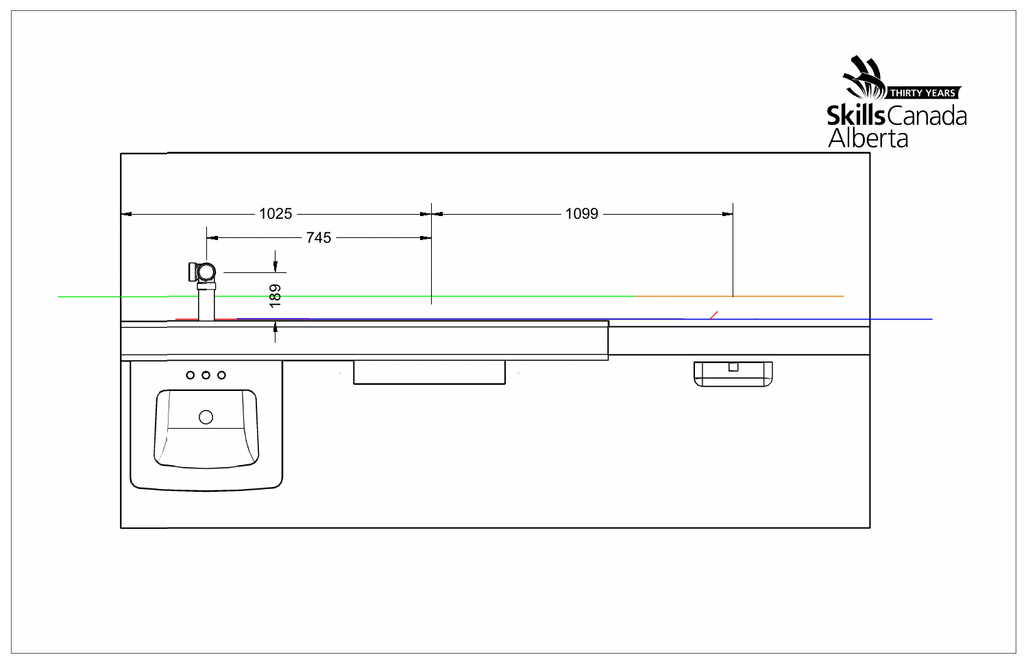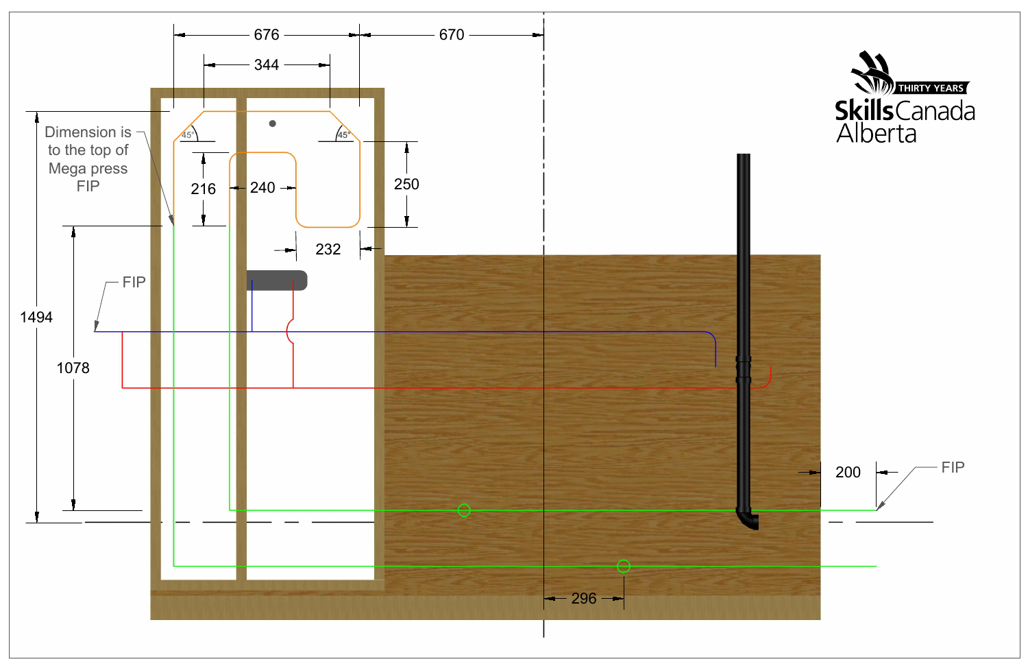